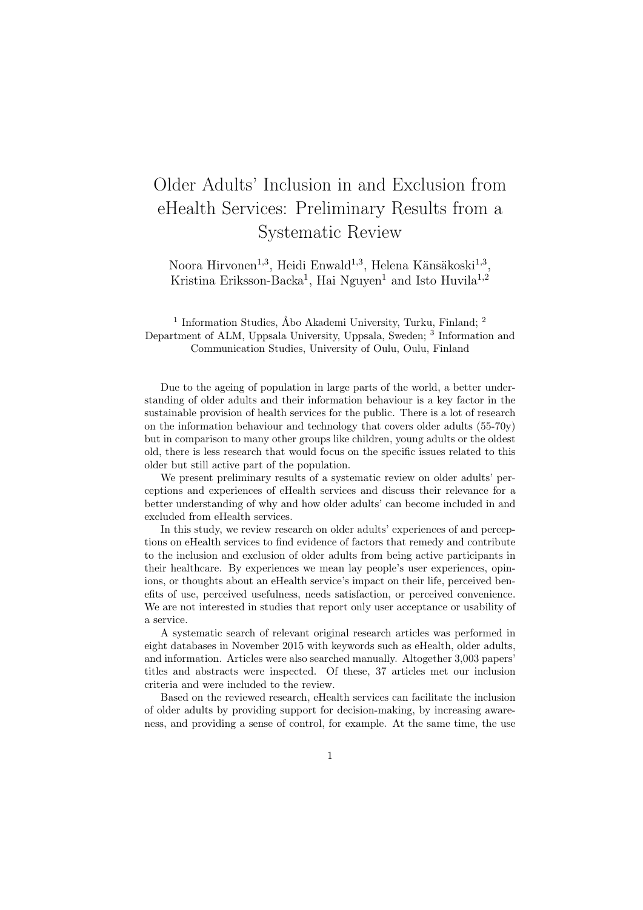## Older Adults' Inclusion in and Exclusion from eHealth Services: Preliminary Results from a Systematic Review

Noora Hirvonen<sup>1,3</sup>, Heidi Enwald<sup>1,3</sup>, Helena Känsäkoski<sup>1,3</sup>, Kristina Eriksson-Backa<sup>1</sup>, Hai Nguyen<sup>1</sup> and Isto Huvila<sup>1,2</sup>

<sup>1</sup> Information Studies, Åbo Akademi University, Turku, Finland; <sup>2</sup> Department of ALM, Uppsala University, Uppsala, Sweden; <sup>3</sup> Information and Communication Studies, University of Oulu, Oulu, Finland

Due to the ageing of population in large parts of the world, a better understanding of older adults and their information behaviour is a key factor in the sustainable provision of health services for the public. There is a lot of research on the information behaviour and technology that covers older adults (55-70y) but in comparison to many other groups like children, young adults or the oldest old, there is less research that would focus on the specific issues related to this older but still active part of the population.

We present preliminary results of a systematic review on older adults' perceptions and experiences of eHealth services and discuss their relevance for a better understanding of why and how older adults' can become included in and excluded from eHealth services.

In this study, we review research on older adults' experiences of and perceptions on eHealth services to find evidence of factors that remedy and contribute to the inclusion and exclusion of older adults from being active participants in their healthcare. By experiences we mean lay people's user experiences, opinions, or thoughts about an eHealth service's impact on their life, perceived benefits of use, perceived usefulness, needs satisfaction, or perceived convenience. We are not interested in studies that report only user acceptance or usability of a service.

A systematic search of relevant original research articles was performed in eight databases in November 2015 with keywords such as eHealth, older adults, and information. Articles were also searched manually. Altogether 3,003 papers' titles and abstracts were inspected. Of these, 37 articles met our inclusion criteria and were included to the review.

Based on the reviewed research, eHealth services can facilitate the inclusion of older adults by providing support for decision-making, by increasing awareness, and providing a sense of control, for example. At the same time, the use